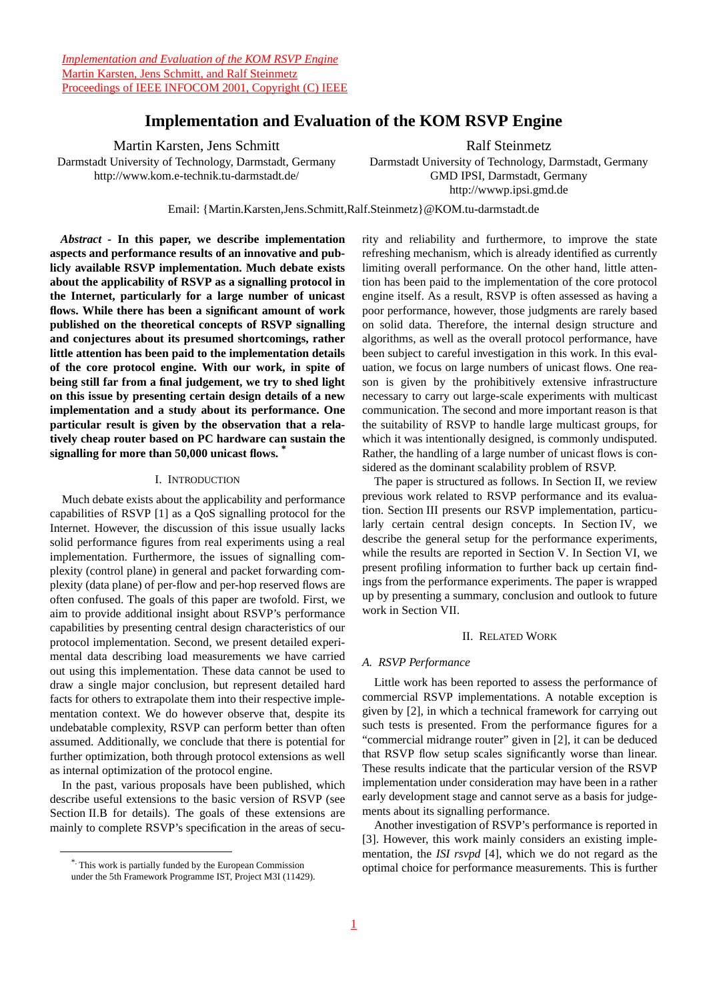# **Implementation and Evaluation of the KOM RSVP Engine**

<span id="page-0-0"></span>Martin Karsten, Jens Schmitt Darmstadt University of Technology, Darmstadt, Germany http://www.kom.e-technik.tu-darmstadt.de/

Ralf Steinmetz

Darmstadt University of Technology, Darmstadt, Germany GMD IPSI, Darmstadt, Germany http://wwwp.ipsi.gmd.de

Email: {Martin.Karsten,Jens.Schmitt,Ralf.Steinmetz}@KOM.tu-darmstadt.de

*Abstract -* **In this paper, we describe implementation aspects and performance results of an innovative and publicly available RSVP implementation. Much debate exists about the applicability of RSVP as a signalling protocol in the Internet, particularly for a large number of unicast flows. While there has been a significant amount of work published on the theoretical concepts of RSVP signalling and conjectures about its presumed shortcomings, rather little attention has been paid to the implementation details of the core protocol engine. With our work, in spite of being still far from a final judgement, we try to shed light on this issue by presenting certain design details of a new implementation and a study about its performance. One particular result is given by the observation that a relatively cheap router based on PC hardware can sustain the signalling for more than 50,000 unicast flows. \***

#### I. INTRODUCTION

Much debate exists about the applicability and performance capabilities of RSVP [1] as a QoS signalling protocol for the Internet. However, the discussion of this issue usually lacks solid performance figures from real experiments using a real implementation. Furthermore, the issues of signalling complexity (control plane) in general and packet forwarding complexity (data plane) of per-flow and per-hop reserved flows are often confused. The goals of this paper are twofold. First, we aim to provide additional insight about RSVP's performance capabilities by presenting central design characteristics of our protocol implementation. Second, we present detailed experimental data describing load measurements we have carried out using this implementation. These data cannot be used to draw a single major conclusion, but represent detailed hard facts for others to extrapolate them into their respective implementation context. We do however observe that, despite its undebatable complexity, RSVP can perform better than often assumed. Additionally, we conclude that there is potential for further optimization, both through protocol extensions as well as internal optimization of the protocol engine.

In the past, various proposals have been published, which describe useful extensions to the basic version of RSVP (see [Section II.B](#page-1-0) for details). The goals of these extensions are mainly to complete RSVP's specification in the areas of secu-

rity and reliability and furthermore, to improve the state refreshing mechanism, which is already identified as currently limiting overall performance. On the other hand, little attention has been paid to the implementation of the core protocol engine itself. As a result, RSVP is often assessed as having a poor performance, however, those judgments are rarely based on solid data. Therefore, the internal design structure and algorithms, as well as the overall protocol performance, have been subject to careful investigation in this work. In this evaluation, we focus on large numbers of unicast flows. One reason is given by the prohibitively extensive infrastructure necessary to carry out large-scale experiments with multicast communication. The second and more important reason is that the suitability of RSVP to handle large multicast groups, for which it was intentionally designed, is commonly undisputed. Rather, the handling of a large number of unicast flows is considered as the dominant scalability problem of RSVP.

The paper is structured as follows. In Section II, we review previous work related to RSVP performance and its evaluation. [Section III](#page-1-0) presents our RSVP implementation, particularly certain central design concepts. In [Section IV,](#page-3-0) we describe the general setup for the performance experiments, while the results are reported in [Section V](#page-3-0). In [Section VI](#page-7-0), we present profiling information to further back up certain findings from the performance experiments. The paper is wrapped up by presenting a summary, conclusion and outlook to future work in [Section VII.](#page-9-0)

### II. RELATED WORK

### *A. RSVP Performance*

Little work has been reported to assess the performance of commercial RSVP implementations. A notable exception is given by [2], in which a technical framework for carrying out such tests is presented. From the performance figures for a "commercial midrange router" given in [2], it can be deduced that RSVP flow setup scales significantly worse than linear. These results indicate that the particular version of the RSVP implementation under consideration may have been in a rather early development stage and cannot serve as a basis for judgements about its signalling performance.

Another investigation of RSVP's performance is reported in [3]. However, this work mainly considers an existing implementation, the *ISI rsvpd* [4], which we do not regard as the \* This work is partially funded by the European Commission optimal choice for performance measurements. This is further

under the 5th Framework Programme IST, Project M3I (11429).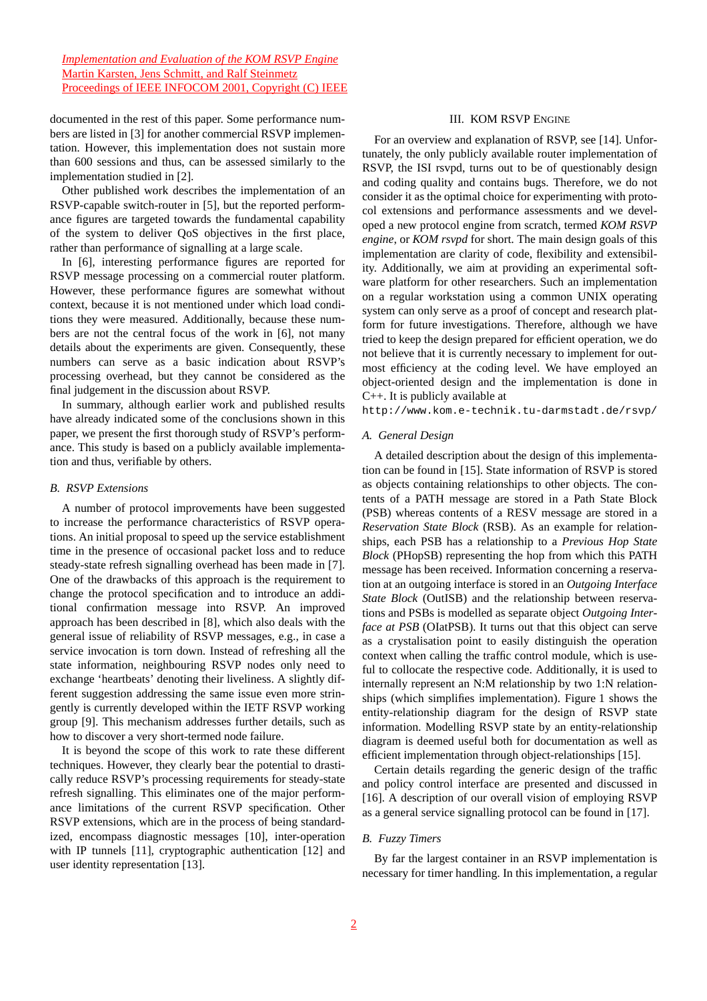<span id="page-1-0"></span>documented in the rest of this paper. Some performance numbers are listed in [3] for another commercial RSVP implementation. However, this implementation does not sustain more than 600 sessions and thus, can be assessed similarly to the implementation studied in [2].

Other published work describes the implementation of an RSVP-capable switch-router in [5], but the reported performance figures are targeted towards the fundamental capability of the system to deliver QoS objectives in the first place, rather than performance of signalling at a large scale.

In [6], interesting performance figures are reported for RSVP message processing on a commercial router platform. However, these performance figures are somewhat without context, because it is not mentioned under which load conditions they were measured. Additionally, because these numbers are not the central focus of the work in [6], not many details about the experiments are given. Consequently, these numbers can serve as a basic indication about RSVP's processing overhead, but they cannot be considered as the final judgement in the discussion about RSVP.

In summary, although earlier work and published results have already indicated some of the conclusions shown in this paper, we present the first thorough study of RSVP's performance. This study is based on a publicly available implementation and thus, verifiable by others.

### *B. RSVP Extensions*

A number of protocol improvements have been suggested to increase the performance characteristics of RSVP operations. An initial proposal to speed up the service establishment time in the presence of occasional packet loss and to reduce steady-state refresh signalling overhead has been made in [7]. One of the drawbacks of this approach is the requirement to change the protocol specification and to introduce an additional confirmation message into RSVP. An improved approach has been described in [8], which also deals with the general issue of reliability of RSVP messages, e.g., in case a service invocation is torn down. Instead of refreshing all the state information, neighbouring RSVP nodes only need to exchange 'heartbeats' denoting their liveliness. A slightly different suggestion addressing the same issue even more stringently is currently developed within the IETF RSVP working group [9]. This mechanism addresses further details, such as how to discover a very short-termed node failure.

It is beyond the scope of this work to rate these different techniques. However, they clearly bear the potential to drastically reduce RSVP's processing requirements for steady-state refresh signalling. This eliminates one of the major performance limitations of the current RSVP specification. Other RSVP extensions, which are in the process of being standardized, encompass diagnostic messages [10], inter-operation with IP tunnels [11], cryptographic authentication [12] and user identity representation [13].

### III. KOM RSVP ENGINE

For an overview and explanation of RSVP, see [14]. Unfortunately, the only publicly available router implementation of RSVP, the ISI rsvpd, turns out to be of questionably design and coding quality and contains bugs. Therefore, we do not consider it as the optimal choice for experimenting with protocol extensions and performance assessments and we developed a new protocol engine from scratch, termed *KOM RSVP engine*, or *KOM rsvpd* for short. The main design goals of this implementation are clarity of code, flexibility and extensibility. Additionally, we aim at providing an experimental software platform for other researchers. Such an implementation on a regular workstation using a common UNIX operating system can only serve as a proof of concept and research platform for future investigations. Therefore, although we have tried to keep the design prepared for efficient operation, we do not believe that it is currently necessary to implement for outmost efficiency at the coding level. We have employed an object-oriented design and the implementation is done in C++. It is publicly available at

http://www.kom.e-technik.tu-darmstadt.de/rsvp/

## *A. General Design*

A detailed description about the design of this implementation can be found in [15]. State information of RSVP is stored as objects containing relationships to other objects. The contents of a PATH message are stored in a Path State Block (PSB) whereas contents of a RESV message are stored in a *Reservation State Block* (RSB). As an example for relationships, each PSB has a relationship to a *Previous Hop State Block* (PHopSB) representing the hop from which this PATH message has been received. Information concerning a reservation at an outgoing interface is stored in an *Outgoing Interface State Block* (OutISB) and the relationship between reservations and PSBs is modelled as separate object *Outgoing Interface at PSB* (OIatPSB). It turns out that this object can serve as a crystalisation point to easily distinguish the operation context when calling the traffic control module, which is useful to collocate the respective code. Additionally, it is used to internally represent an N:M relationship by two 1:N relationships (which simplifies implementation). [Figure 1](#page-2-0) shows the entity-relationship diagram for the design of RSVP state information. Modelling RSVP state by an entity-relationship diagram is deemed useful both for documentation as well as efficient implementation through object-relationships [15].

Certain details regarding the generic design of the traffic and policy control interface are presented and discussed in [16]. A description of our overall vision of employing RSVP as a general service signalling protocol can be found in [17].

### *B. Fuzzy Timers*

By far the largest container in an RSVP implementation is necessary for timer handling. In this implementation, a regular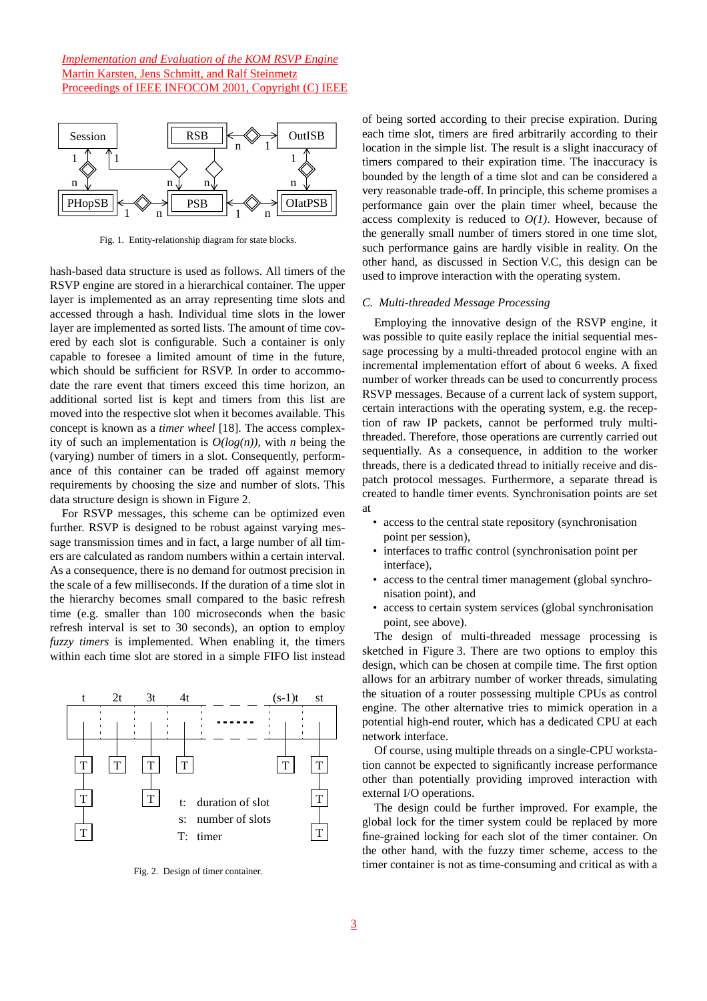<span id="page-2-0"></span>

Fig. 1. Entity-relationship diagram for state blocks.

hash-based data structure is used as follows. All timers of the RSVP engine are stored in a hierarchical container. The upper layer is implemented as an array representing time slots and accessed through a hash. Individual time slots in the lower layer are implemented as sorted lists. The amount of time covered by each slot is configurable. Such a container is only capable to foresee a limited amount of time in the future, which should be sufficient for RSVP. In order to accommodate the rare event that timers exceed this time horizon, an additional sorted list is kept and timers from this list are moved into the respective slot when it becomes available. This concept is known as a *timer wheel* [18]. The access complexity of such an implementation is *O(log(n))*, with *n* being the (varying) number of timers in a slot. Consequently, performance of this container can be traded off against memory requirements by choosing the size and number of slots. This data structure design is shown in Figure 2.

For RSVP messages, this scheme can be optimized even further. RSVP is designed to be robust against varying message transmission times and in fact, a large number of all timers are calculated as random numbers within a certain interval. As a consequence, there is no demand for outmost precision in the scale of a few milliseconds. If the duration of a time slot in the hierarchy becomes small compared to the basic refresh time (e.g. smaller than 100 microseconds when the basic refresh interval is set to 30 seconds), an option to employ *fuzzy timers* is implemented. When enabling it, the timers within each time slot are stored in a simple FIFO list instead



Fig. 2. Design of timer container.

of being sorted according to their precise expiration. During each time slot, timers are fired arbitrarily according to their location in the simple list. The result is a slight inaccuracy of timers compared to their expiration time. The inaccuracy is bounded by the length of a time slot and can be considered a very reasonable trade-off. In principle, this scheme promises a performance gain over the plain timer wheel, because the access complexity is reduced to *O(1)*. However, because of the generally small number of timers stored in one time slot, such performance gains are hardly visible in reality. On the other hand, as discussed in [Section V.C,](#page-5-0) this design can be used to improve interaction with the operating system.

#### *C. Multi-threaded Message Processing*

Employing the innovative design of the RSVP engine, it was possible to quite easily replace the initial sequential message processing by a multi-threaded protocol engine with an incremental implementation effort of about 6 weeks. A fixed number of worker threads can be used to concurrently process RSVP messages. Because of a current lack of system support, certain interactions with the operating system, e.g. the reception of raw IP packets, cannot be performed truly multithreaded. Therefore, those operations are currently carried out sequentially. As a consequence, in addition to the worker threads, there is a dedicated thread to initially receive and dispatch protocol messages. Furthermore, a separate thread is created to handle timer events. Synchronisation points are set at

- access to the central state repository (synchronisation point per session),
- interfaces to traffic control (synchronisation point per interface),
- access to the central timer management (global synchronisation point), and
- access to certain system services (global synchronisation point, see above).

The design of multi-threaded message processing is sketched in [Figure 3](#page-3-0). There are two options to employ this design, which can be chosen at compile time. The first option allows for an arbitrary number of worker threads, simulating the situation of a router possessing multiple CPUs as control engine. The other alternative tries to mimick operation in a potential high-end router, which has a dedicated CPU at each network interface.

Of course, using multiple threads on a single-CPU workstation cannot be expected to significantly increase performance other than potentially providing improved interaction with external I/O operations.

The design could be further improved. For example, the global lock for the timer system could be replaced by more fine-grained locking for each slot of the timer container. On the other hand, with the fuzzy timer scheme, access to the timer container is not as time-consuming and critical as with a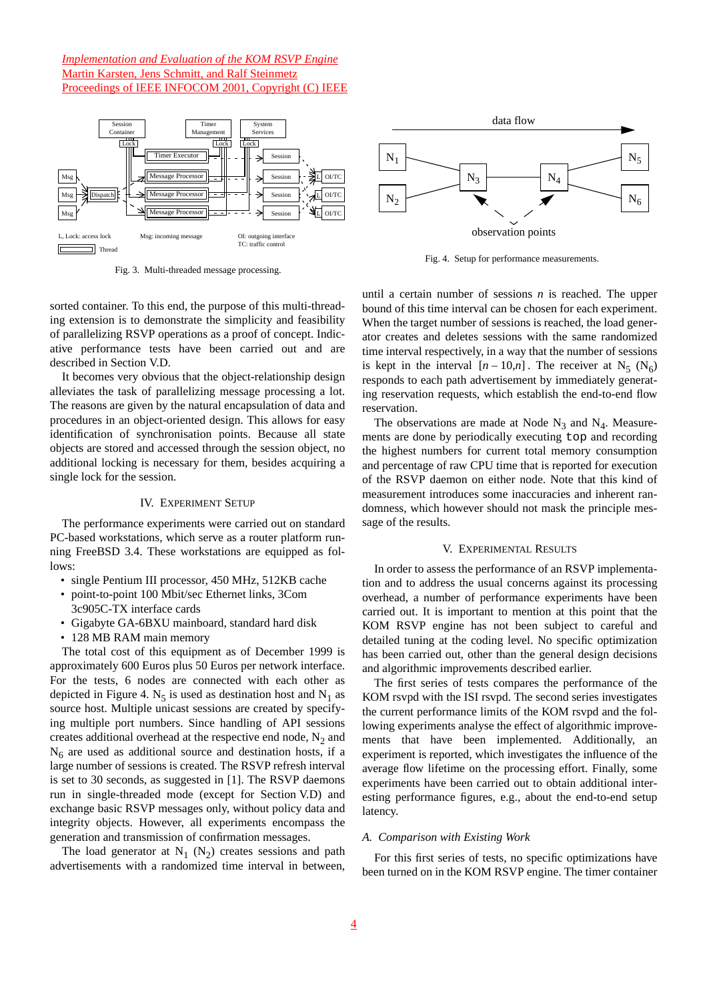<span id="page-3-0"></span>

Fig. 3. Multi-threaded message processing.



Fig. 4. Setup for performance measurements.

sorted container. To this end, the purpose of this multi-threading extension is to demonstrate the simplicity and feasibility of parallelizing RSVP operations as a proof of concept. Indicative performance tests have been carried out and are described in [Section V.D.](#page-6-0)

It becomes very obvious that the object-relationship design alleviates the task of parallelizing message processing a lot. The reasons are given by the natural encapsulation of data and procedures in an object-oriented design. This allows for easy identification of synchronisation points. Because all state objects are stored and accessed through the session object, no additional locking is necessary for them, besides acquiring a single lock for the session.

#### IV. EXPERIMENT SETUP

The performance experiments were carried out on standard PC-based workstations, which serve as a router platform running FreeBSD 3.4. These workstations are equipped as follows:

- single Pentium III processor, 450 MHz, 512KB cache
- point-to-point 100 Mbit/sec Ethernet links, 3Com 3c905C-TX interface cards
- Gigabyte GA-6BXU mainboard, standard hard disk
- 128 MB RAM main memory

The total cost of this equipment as of December 1999 is approximately 600 Euros plus 50 Euros per network interface. For the tests, 6 nodes are connected with each other as depicted in Figure 4.  $N_5$  is used as destination host and  $N_1$  as source host. Multiple unicast sessions are created by specifying multiple port numbers. Since handling of API sessions creates additional overhead at the respective end node,  $N_2$  and  $N<sub>6</sub>$  are used as additional source and destination hosts, if a large number of sessions is created. The RSVP refresh interval is set to 30 seconds, as suggested in [1]. The RSVP daemons run in single-threaded mode (except for [Section V.D\)](#page-6-0) and exchange basic RSVP messages only, without policy data and integrity objects. However, all experiments encompass the generation and transmission of confirmation messages.

The load generator at  $N_1$  (N<sub>2</sub>) creates sessions and path advertisements with a randomized time interval in between,

until a certain number of sessions *n* is reached. The upper bound of this time interval can be chosen for each experiment. When the target number of sessions is reached, the load generator creates and deletes sessions with the same randomized time interval respectively, in a way that the number of sessions is kept in the interval  $[n - 10, n]$ . The receiver at N<sub>5</sub> (N<sub>6</sub>) responds to each path advertisement by immediately generating reservation requests, which establish the end-to-end flow reservation.

The observations are made at Node  $N_3$  and  $N_4$ . Measurements are done by periodically executing top and recording the highest numbers for current total memory consumption and percentage of raw CPU time that is reported for execution of the RSVP daemon on either node. Note that this kind of measurement introduces some inaccuracies and inherent randomness, which however should not mask the principle message of the results.

#### V. EXPERIMENTAL RESULTS

In order to assess the performance of an RSVP implementation and to address the usual concerns against its processing overhead, a number of performance experiments have been carried out. It is important to mention at this point that the KOM RSVP engine has not been subject to careful and detailed tuning at the coding level. No specific optimization has been carried out, other than the general design decisions and algorithmic improvements described earlier.

The first series of tests compares the performance of the KOM rsvpd with the ISI rsvpd. The second series investigates the current performance limits of the KOM rsvpd and the following experiments analyse the effect of algorithmic improvements that have been implemented. Additionally, an experiment is reported, which investigates the influence of the average flow lifetime on the processing effort. Finally, some experiments have been carried out to obtain additional interesting performance figures, e.g., about the end-to-end setup latency.

#### *A. Comparison with Existing Work*

For this first series of tests, no specific optimizations have been turned on in the KOM RSVP engine. The timer container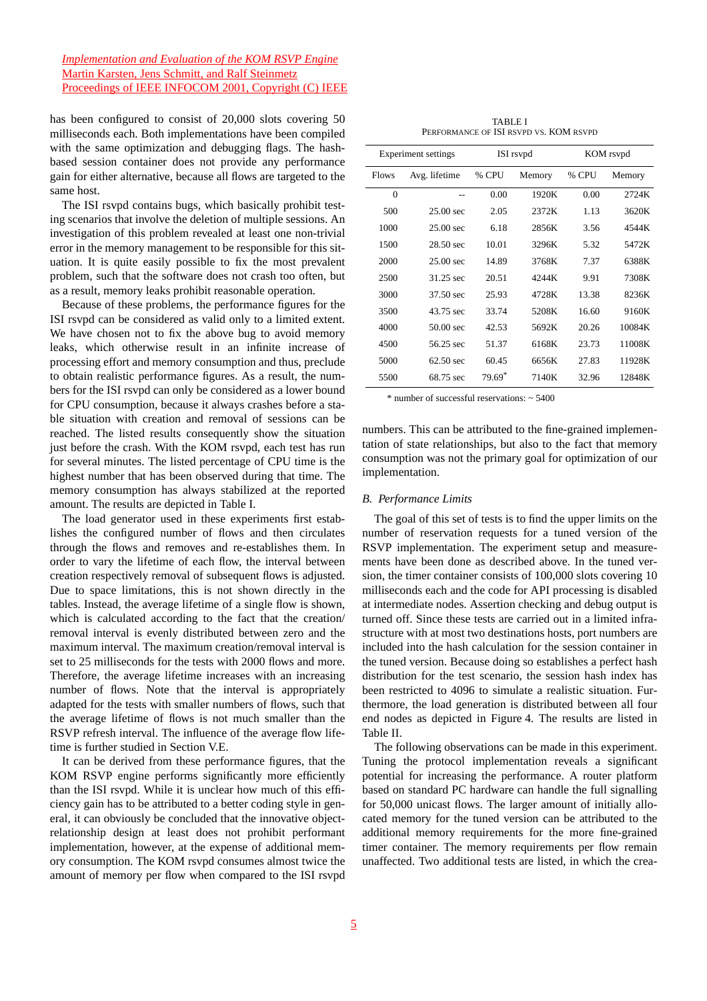<span id="page-4-0"></span>has been configured to consist of 20,000 slots covering 50 milliseconds each. Both implementations have been compiled with the same optimization and debugging flags. The hashbased session container does not provide any performance gain for either alternative, because all flows are targeted to the same host.

The ISI rsvpd contains bugs, which basically prohibit testing scenarios that involve the deletion of multiple sessions. An investigation of this problem revealed at least one non-trivial error in the memory management to be responsible for this situation. It is quite easily possible to fix the most prevalent problem, such that the software does not crash too often, but as a result, memory leaks prohibit reasonable operation.

Because of these problems, the performance figures for the ISI rsvpd can be considered as valid only to a limited extent. We have chosen not to fix the above bug to avoid memory leaks, which otherwise result in an infinite increase of processing effort and memory consumption and thus, preclude to obtain realistic performance figures. As a result, the numbers for the ISI rsvpd can only be considered as a lower bound for CPU consumption, because it always crashes before a stable situation with creation and removal of sessions can be reached. The listed results consequently show the situation just before the crash. With the KOM rsvpd, each test has run for several minutes. The listed percentage of CPU time is the highest number that has been observed during that time. The memory consumption has always stabilized at the reported amount. The results are depicted in Table I.

The load generator used in these experiments first establishes the configured number of flows and then circulates through the flows and removes and re-establishes them. In order to vary the lifetime of each flow, the interval between creation respectively removal of subsequent flows is adjusted. Due to space limitations, this is not shown directly in the tables. Instead, the average lifetime of a single flow is shown, which is calculated according to the fact that the creation/ removal interval is evenly distributed between zero and the maximum interval. The maximum creation/removal interval is set to 25 milliseconds for the tests with 2000 flows and more. Therefore, the average lifetime increases with an increasing number of flows. Note that the interval is appropriately adapted for the tests with smaller numbers of flows, such that the average lifetime of flows is not much smaller than the RSVP refresh interval. The influence of the average flow lifetime is further studied in S[ection V.E.](#page-7-0)

It can be derived from these performance figures, that the KOM RSVP engine performs significantly more efficiently than the ISI rsvpd. While it is unclear how much of this efficiency gain has to be attributed to a better coding style in general, it can obviously be concluded that the innovative objectrelationship design at least does not prohibit performant implementation, however, at the expense of additional memory consumption. The KOM rsvpd consumes almost twice the amount of memory per flow when compared to the ISI rsvpd

TABLE I PERFORMANCE OF ISI RSVPD VS. KOM RSVPD

| <b>Experiment settings</b> |               | ISI rsvpd |        | KOM rsvpd |        |
|----------------------------|---------------|-----------|--------|-----------|--------|
| <b>Flows</b>               | Avg. lifetime | % CPU     | Memory | % CPU     | Memory |
| $\theta$                   |               | 0.00      | 1920K  | 0.00      | 2724K  |
| 500                        | $25.00$ sec   | 2.05      | 2372K  | 1.13      | 3620K  |
| 1000                       | $25.00$ sec   | 6.18      | 2856K  | 3.56      | 4544K  |
| 1500                       | $28.50$ sec   | 10.01     | 3296K  | 5.32      | 5472K  |
| 2000                       | $25.00$ sec   | 14.89     | 3768K  | 7.37      | 6388K  |
| 2500                       | 31.25 sec     | 20.51     | 4244K  | 9.91      | 7308K  |
| 3000                       | 37.50 sec     | 25.93     | 4728K  | 13.38     | 8236K  |
| 3500                       | 43.75 sec     | 33.74     | 5208K  | 16.60     | 9160K  |
| 4000                       | $50.00$ sec   | 42.53     | 5692K  | 20.26     | 10084K |
| 4500                       | 56.25 sec     | 51.37     | 6168K  | 23.73     | 11008K |
| 5000                       | $62.50$ sec   | 60.45     | 6656K  | 27.83     | 11928K |
| 5500                       | 68.75 sec     | $79.69*$  | 7140K  | 32.96     | 12848K |

 $*$  number of successful reservations:  $\sim$  5400

numbers. This can be attributed to the fine-grained implementation of state relationships, but also to the fact that memory consumption was not the primary goal for optimization of our implementation.

### *B. Performance Limits*

The goal of this set of tests is to find the upper limits on the number of reservation requests for a tuned version of the RSVP implementation. The experiment setup and measurements have been done as described above. In the tuned version, the timer container consists of 100,000 slots covering 10 milliseconds each and the code for API processing is disabled at intermediate nodes. Assertion checking and debug output is turned off. Since these tests are carried out in a limited infrastructure with at most two destinations hosts, port numbers are included into the hash calculation for the session container in the tuned version. Because doing so establishes a perfect hash distribution for the test scenario, the session hash index has been restricted to 4096 to simulate a realistic situation. Furthermore, the load generation is distributed between all four end nodes as depicted in [Figure 4](#page-3-0). The results are listed in [Table II.](#page-5-0)

The following observations can be made in this experiment. Tuning the protocol implementation reveals a significant potential for increasing the performance. A router platform based on standard PC hardware can handle the full signalling for 50,000 unicast flows. The larger amount of initially allocated memory for the tuned version can be attributed to the additional memory requirements for the more fine-grained timer container. The memory requirements per flow remain unaffected. Two additional tests are listed, in which the crea-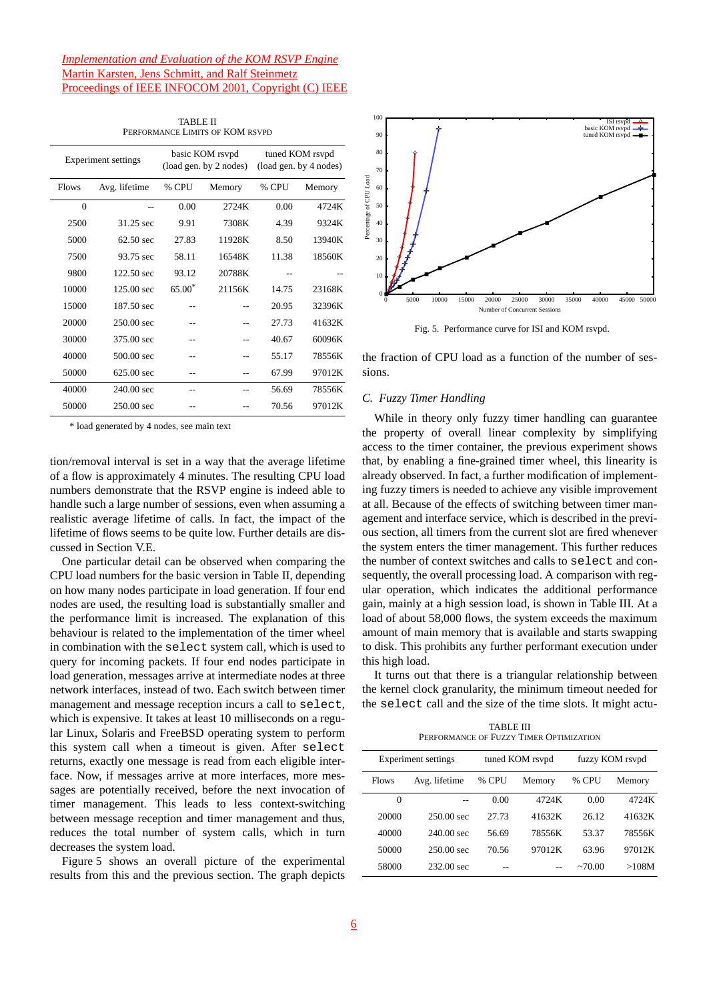<span id="page-5-0"></span>

| I ENFONITATIVE EINITIS OF INOTH NS VI D |                      |                                           |        |                                           |        |
|-----------------------------------------|----------------------|-------------------------------------------|--------|-------------------------------------------|--------|
| <b>Experiment settings</b>              |                      | basic KOM rsvpd<br>(load gen. by 2 nodes) |        | tuned KOM rsvpd<br>(load gen. by 4 nodes) |        |
| Flows                                   | Avg. lifetime        | % CPU                                     | Memory | % CPU                                     | Memory |
| $\theta$                                |                      | 0.00                                      | 2724K  | 0.00                                      | 4724K  |
| 2500                                    | 31.25 sec            | 9.91                                      | 7308K  | 4.39                                      | 9324K  |
| 5000                                    | $62.50 \text{ sec}$  | 27.83                                     | 11928K | 8.50                                      | 13940K |
| 7500                                    | 93.75 sec            | 58.11                                     | 16548K | 11.38                                     | 18560K |
| 9800                                    | $122.50 \text{ sec}$ | 93.12                                     | 20788K |                                           |        |
| 10000                                   | $125.00 \text{ sec}$ | $65.00*$                                  | 21156K | 14.75                                     | 23168K |
| 15000                                   | 187.50 sec           |                                           |        | 20.95                                     | 32396K |
|                                         |                      |                                           |        |                                           |        |

20000 250.00 sec -- - 27.73 41632K 30000 375.00 sec -- - 40.67 60096K 40000 500.00 sec -- - 55.17 78556K 50000 625.00 sec -- - 67.99 97012K 40000 240.00 sec -- - 56.69 78556K 50000 250.00 sec -- - 70.56 97012K

TABLE II PERFORMANCE LIMITS OF KOM RSVPD

\* load generated by 4 nodes, see main text

tion/removal interval is set in a way that the average lifetime of a flow is approximately 4 minutes. The resulting CPU load numbers demonstrate that the RSVP engine is indeed able to handle such a large number of sessions, even when assuming a realistic average lifetime of calls. In fact, the impact of the lifetime of flows seems to be quite low. Further details are discussed in [Section V.E.](#page-7-0)

One particular detail can be observed when comparing the CPU load numbers for the basic version in Table II, depending on how many nodes participate in load generation. If four end nodes are used, the resulting load is substantially smaller and the performance limit is increased. The explanation of this behaviour is related to the implementation of the timer wheel in combination with the select system call, which is used to query for incoming packets. If four end nodes participate in load generation, messages arrive at intermediate nodes at three network interfaces, instead of two. Each switch between timer management and message reception incurs a call to select, which is expensive. It takes at least 10 milliseconds on a regular Linux, Solaris and FreeBSD operating system to perform this system call when a timeout is given. After select returns, exactly one message is read from each eligible interface. Now, if messages arrive at more interfaces, more messages are potentially received, before the next invocation of timer management. This leads to less context-switching between message reception and timer management and thus, reduces the total number of system calls, which in turn decreases the system load.

Figure 5 shows an overall picture of the experimental results from this and the previous section. The graph depicts



Fig. 5. Performance curve for ISI and KOM rsvpd.

the fraction of CPU load as a function of the number of sessions.

#### *C. Fuzzy Timer Handling*

While in theory only fuzzy timer handling can guarantee the property of overall linear complexity by simplifying access to the timer container, the previous experiment shows that, by enabling a fine-grained timer wheel, this linearity is already observed. In fact, a further modification of implementing fuzzy timers is needed to achieve any visible improvement at all. Because of the effects of switching between timer management and interface service, which is described in the previous section, all timers from the current slot are fired whenever the system enters the timer management. This further reduces the number of context switches and calls to select and consequently, the overall processing load. A comparison with regular operation, which indicates the additional performance gain, mainly at a high session load, is shown in Table III. At a load of about 58,000 flows, the system exceeds the maximum amount of main memory that is available and starts swapping to disk. This prohibits any further performant execution under this high load.

It turns out that there is a triangular relationship between the kernel clock granularity, the minimum timeout needed for the select call and the size of the time slots. It might actu-

TABLE III PERFORMANCE OF FUZZY TIMER OPTIMIZATION

| Experiment settings |                      | tuned KOM rsvpd |        | fuzzy KOM rsvpd |        |
|---------------------|----------------------|-----------------|--------|-----------------|--------|
| <b>Flows</b>        | Avg. lifetime        | % CPU           | Memory | % CPU           | Memory |
| 0                   |                      | 0.00            | 4724K  | 0.00            | 4724K  |
| 20000               | $250.00$ sec         | 27.73           | 41632K | 26.12           | 41632K |
| 40000               | $240.00 \text{ sec}$ | 56.69           | 78556K | 53.37           | 78556K |
| 50000               | $250.00$ sec         | 70.56           | 97012K | 63.96           | 97012K |
| 58000               | $232.00 \text{ sec}$ |                 |        | ~100            | >108M  |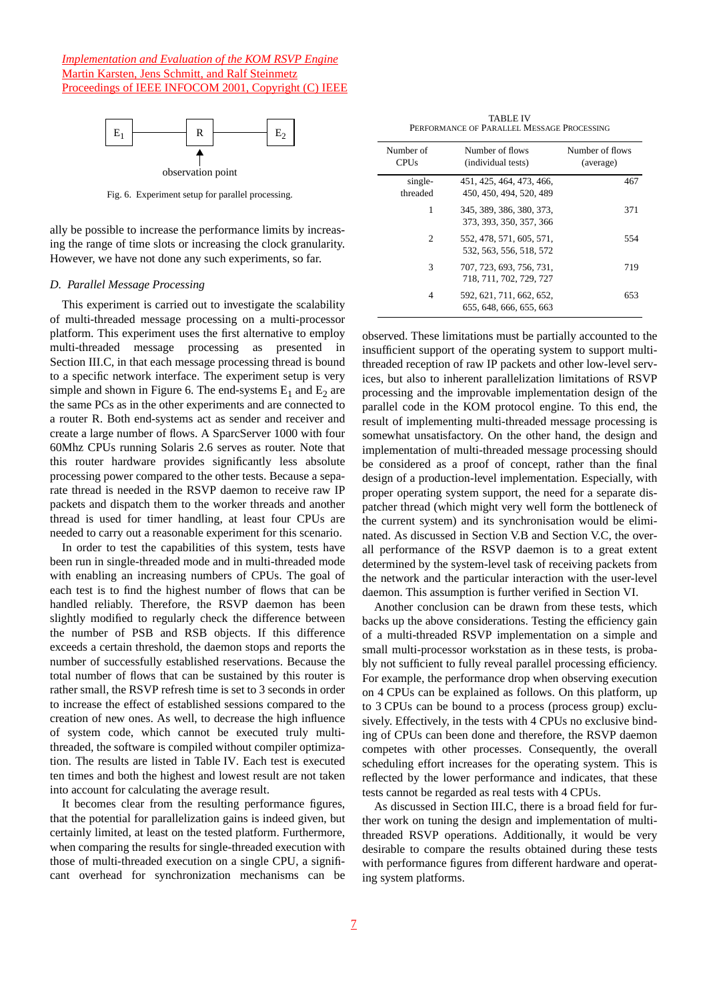<span id="page-6-0"></span>

observation point

Fig. 6. Experiment setup for parallel processing.

ally be possible to increase the performance limits by increasing the range of time slots or increasing the clock granularity. However, we have not done any such experiments, so far.

### *D. Parallel Message Processing*

This experiment is carried out to investigate the scalability of multi-threaded message processing on a multi-processor platform. This experiment uses the first alternative to employ multi-threaded message processing as presented in [Section III.C,](#page-2-0) in that each message processing thread is bound to a specific network interface. The experiment setup is very simple and shown in Figure 6. The end-systems  $E_1$  and  $E_2$  are the same PCs as in the other experiments and are connected to a router R. Both end-systems act as sender and receiver and create a large number of flows. A SparcServer 1000 with four 60Mhz CPUs running Solaris 2.6 serves as router. Note that this router hardware provides significantly less absolute processing power compared to the other tests. Because a separate thread is needed in the RSVP daemon to receive raw IP packets and dispatch them to the worker threads and another thread is used for timer handling, at least four CPUs are needed to carry out a reasonable experiment for this scenario.

In order to test the capabilities of this system, tests have been run in single-threaded mode and in multi-threaded mode with enabling an increasing numbers of CPUs. The goal of each test is to find the highest number of flows that can be handled reliably. Therefore, the RSVP daemon has been slightly modified to regularly check the difference between the number of PSB and RSB objects. If this difference exceeds a certain threshold, the daemon stops and reports the number of successfully established reservations. Because the total number of flows that can be sustained by this router is rather small, the RSVP refresh time is set to 3 seconds in order to increase the effect of established sessions compared to the creation of new ones. As well, to decrease the high influence of system code, which cannot be executed truly multithreaded, the software is compiled without compiler optimization. The results are listed in Table IV. Each test is executed ten times and both the highest and lowest result are not taken into account for calculating the average result.

It becomes clear from the resulting performance figures, that the potential for parallelization gains is indeed given, but certainly limited, at least on the tested platform. Furthermore, when comparing the results for single-threaded execution with those of multi-threaded execution on a single CPU, a significant overhead for synchronization mechanisms can be

TABLE IV PERFORMANCE OF PARALLEL MESSAGE PROCESSING

| Number of<br><b>CPUs</b> | Number of flows<br>(individual tests)               | Number of flows<br>(average) |
|--------------------------|-----------------------------------------------------|------------------------------|
| single-<br>threaded      | 451, 425, 464, 473, 466,<br>450, 450, 494, 520, 489 | 467                          |
| 1                        | 345, 389, 386, 380, 373,<br>373, 393, 350, 357, 366 | 371                          |
| 2                        | 552, 478, 571, 605, 571,<br>532, 563, 556, 518, 572 | 554                          |
| 3                        | 707, 723, 693, 756, 731,<br>718, 711, 702, 729, 727 | 719                          |
| 4                        | 592, 621, 711, 662, 652,<br>655, 648, 666, 655, 663 | 653                          |

observed. These limitations must be partially accounted to the insufficient support of the operating system to support multithreaded reception of raw IP packets and other low-level services, but also to inherent parallelization limitations of RSVP processing and the improvable implementation design of the parallel code in the KOM protocol engine. To this end, the result of implementing multi-threaded message processing is somewhat unsatisfactory. On the other hand, the design and implementation of multi-threaded message processing should be considered as a proof of concept, rather than the final design of a production-level implementation. Especially, with proper operating system support, the need for a separate dispatcher thread (which might very well form the bottleneck of the current system) and its synchronisation would be eliminated. As discussed in [Section V.B](#page-4-0) and [Section V.C](#page-5-0), the overall performance of the RSVP daemon is to a great extent determined by the system-level task of receiving packets from the network and the particular interaction with the user-level daemon. This assumption is further verified in Se[ction VI.](#page-7-0)

Another conclusion can be drawn from these tests, which backs up the above considerations. Testing the efficiency gain of a multi-threaded RSVP implementation on a simple and small multi-processor workstation as in these tests, is probably not sufficient to fully reveal parallel processing efficiency. For example, the performance drop when observing execution on 4 CPUs can be explained as follows. On this platform, up to 3 CPUs can be bound to a process (process group) exclusively. Effectively, in the tests with 4 CPUs no exclusive binding of CPUs can been done and therefore, the RSVP daemon competes with other processes. Consequently, the overall scheduling effort increases for the operating system. This is reflected by the lower performance and indicates, that these tests cannot be regarded as real tests with 4 CPUs.

As discussed in [Section III.C](#page-2-0), there is a broad field for further work on tuning the design and implementation of multithreaded RSVP operations. Additionally, it would be very desirable to compare the results obtained during these tests with performance figures from different hardware and operating system platforms.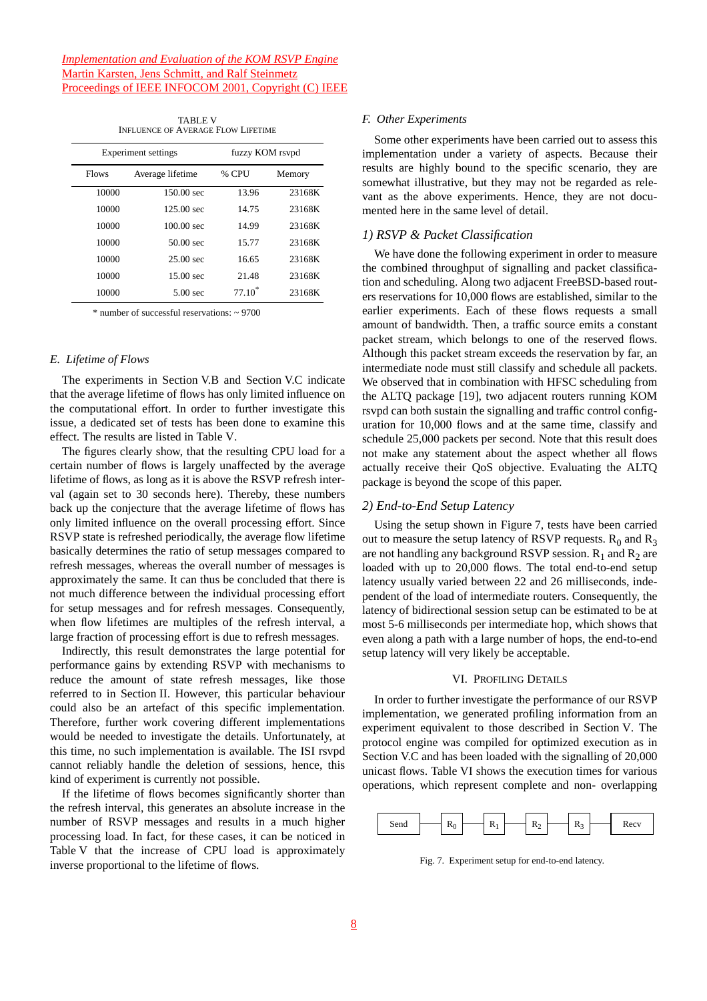TABLE V INFLUENCE OF AVERAGE FLOW LIFETIME

<span id="page-7-0"></span>

| <b>Experiment settings</b> |                      | fuzzy KOM rsvpd |        |
|----------------------------|----------------------|-----------------|--------|
| <b>Flows</b>               | Average lifetime     | % CPU           | Memory |
| 10000                      | $150.00 \text{ sec}$ | 13.96           | 23168K |
| 10000                      | $125.00 \text{ sec}$ | 14.75           | 23168K |
| 10000                      | $100.00$ sec         | 14.99           | 23168K |
| 10000                      | 50.00 sec            | 15.77           | 23168K |
| 10000                      | $25.00$ sec          | 16.65           | 23168K |
| 10000                      | $15.00 \text{ sec}$  | 21.48           | 23168K |
| 10000                      | $5.00$ sec           | $77.10*$        | 23168K |

\* number of successful reservations: ~ 9700

#### *E. Lifetime of Flows*

The experiments in [Section V.B](#page-4-0) and [Section V.C](#page-5-0) indicate that the average lifetime of flows has only limited influence on the computational effort. In order to further investigate this issue, a dedicated set of tests has been done to examine this effect. The results are listed in Table V.

The figures clearly show, that the resulting CPU load for a certain number of flows is largely unaffected by the average lifetime of flows, as long as it is above the RSVP refresh interval (again set to 30 seconds here). Thereby, these numbers back up the conjecture that the average lifetime of flows has only limited influence on the overall processing effort. Since RSVP state is refreshed periodically, the average flow lifetime basically determines the ratio of setup messages compared to refresh messages, whereas the overall number of messages is approximately the same. It can thus be concluded that there is not much difference between the individual processing effort for setup messages and for refresh messages. Consequently, when flow lifetimes are multiples of the refresh interval, a large fraction of processing effort is due to refresh messages.

Indirectly, this result demonstrates the large potential for performance gains by extending RSVP with mechanisms to reduce the amount of state refresh messages, like those referred to in [Section II.](#page-0-0) However, this particular behaviour could also be an artefact of this specific implementation. Therefore, further work covering different implementations would be needed to investigate the details. Unfortunately, at this time, no such implementation is available. The ISI rsvpd cannot reliably handle the deletion of sessions, hence, this kind of experiment is currently not possible.

If the lifetime of flows becomes significantly shorter than the refresh interval, this generates an absolute increase in the number of RSVP messages and results in a much higher processing load. In fact, for these cases, it can be noticed in Table V that the increase of CPU load is approximately inverse proportional to the lifetime of flows.

### *F. Other Experiments*

Some other experiments have been carried out to assess this implementation under a variety of aspects. Because their results are highly bound to the specific scenario, they are somewhat illustrative, but they may not be regarded as relevant as the above experiments. Hence, they are not documented here in the same level of detail.

### *1) RSVP & Packet Classification*

We have done the following experiment in order to measure the combined throughput of signalling and packet classification and scheduling. Along two adjacent FreeBSD-based routers reservations for 10,000 flows are established, similar to the earlier experiments. Each of these flows requests a small amount of bandwidth. Then, a traffic source emits a constant packet stream, which belongs to one of the reserved flows. Although this packet stream exceeds the reservation by far, an intermediate node must still classify and schedule all packets. We observed that in combination with HFSC scheduling from the ALTQ package [19], two adjacent routers running KOM rsvpd can both sustain the signalling and traffic control configuration for 10,000 flows and at the same time, classify and schedule 25,000 packets per second. Note that this result does not make any statement about the aspect whether all flows actually receive their QoS objective. Evaluating the ALTQ package is beyond the scope of this paper.

#### *2) End-to-End Setup Latency*

Using the setup shown in Figure 7, tests have been carried out to measure the setup latency of RSVP requests.  $R_0$  and  $R_3$ are not handling any background RSVP session.  $R_1$  and  $R_2$  are loaded with up to 20,000 flows. The total end-to-end setup latency usually varied between 22 and 26 milliseconds, independent of the load of intermediate routers. Consequently, the latency of bidirectional session setup can be estimated to be at most 5-6 milliseconds per intermediate hop, which shows that even along a path with a large number of hops, the end-to-end setup latency will very likely be acceptable.

#### VI. PROFILING DETAILS

In order to further investigate the performance of our RSVP implementation, we generated profiling information from an experiment equivalent to those described in [Section V.](#page-3-0) The protocol engine was compiled for optimized execution as in [Section V.C](#page-5-0) and has been loaded with the signalling of 20,000 unicast flows. [Table VI](#page-8-0) shows the execution times for various operations, which represent complete and non- overlapping



Fig. 7. Experiment setup for end-to-end latency.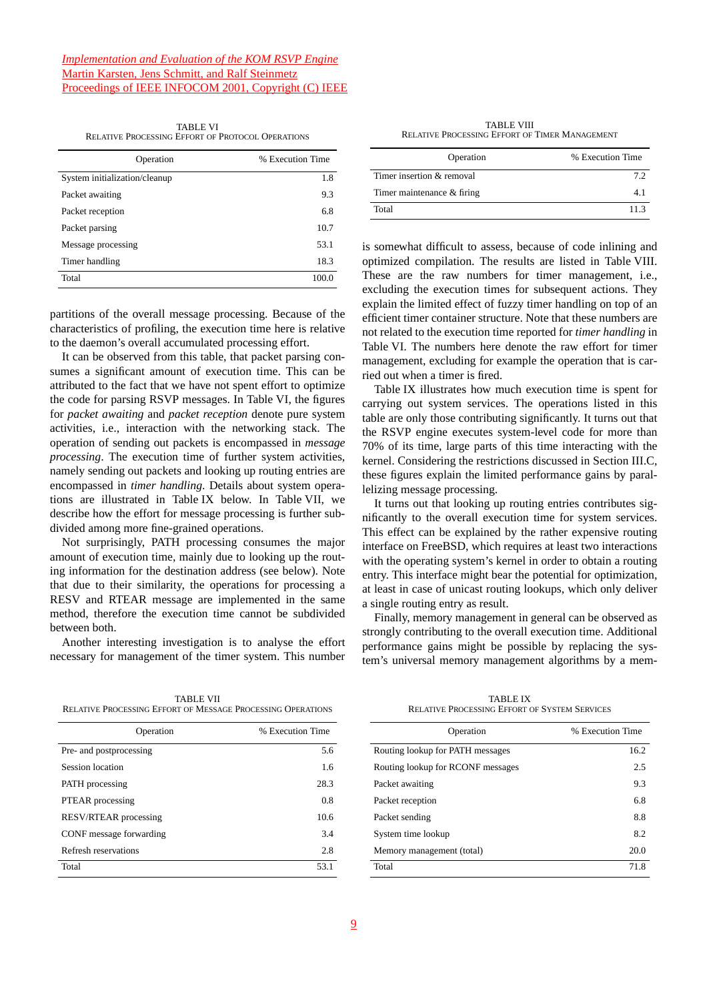<span id="page-8-0"></span>TABLE VI RELATIVE PROCESSING EFFORT OF PROTOCOL OPERATIONS

| Operation                     | % Execution Time |
|-------------------------------|------------------|
| System initialization/cleanup | 1.8              |
| Packet awaiting               | 9.3              |
| Packet reception              | 6.8              |
| Packet parsing                | 10.7             |
| Message processing            | 53.1             |
| Timer handling                | 18.3             |
| Total                         | 100.0            |

partitions of the overall message processing. Because of the characteristics of profiling, the execution time here is relative to the daemon's overall accumulated processing effort.

It can be observed from this table, that packet parsing consumes a significant amount of execution time. This can be attributed to the fact that we have not spent effort to optimize the code for parsing RSVP messages. In Table VI, the figures for *packet awaiting* and *packet reception* denote pure system activities, i.e., interaction with the networking stack. The operation of sending out packets is encompassed in *message processing*. The execution time of further system activities, namely sending out packets and looking up routing entries are encompassed in *timer handling*. Details about system operations are illustrated in Table IX below. In Table VII, we describe how the effort for message processing is further subdivided among more fine-grained operations.

Not surprisingly, PATH processing consumes the major amount of execution time, mainly due to looking up the routing information for the destination address (see below). Note that due to their similarity, the operations for processing a RESV and RTEAR message are implemented in the same method, therefore the execution time cannot be subdivided between both.

Another interesting investigation is to analyse the effort necessary for management of the timer system. This number

TABLE VIII RELATIVE PROCESSING EFFORT OF TIMER MANAGEMENT

| Operation                  | % Execution Time |
|----------------------------|------------------|
| Timer insertion & removal  | 72               |
| Timer maintenance & firing | 41               |
| Total                      | 113              |
|                            |                  |

is somewhat difficult to assess, because of code inlining and optimized compilation. The results are listed in Table VIII. These are the raw numbers for timer management, i.e., excluding the execution times for subsequent actions. They explain the limited effect of fuzzy timer handling on top of an efficient timer container structure. Note that these numbers are not related to the execution time reported for *timer handling* in Table VI. The numbers here denote the raw effort for timer management, excluding for example the operation that is carried out when a timer is fired.

Table IX illustrates how much execution time is spent for carrying out system services. The operations listed in this table are only those contributing significantly. It turns out that the RSVP engine executes system-level code for more than 70% of its time, large parts of this time interacting with the kernel. Considering the restrictions discussed in [Section III.C](#page-2-0), these figures explain the limited performance gains by parallelizing message processing.

It turns out that looking up routing entries contributes significantly to the overall execution time for system services. This effect can be explained by the rather expensive routing interface on FreeBSD, which requires at least two interactions with the operating system's kernel in order to obtain a routing entry. This interface might bear the potential for optimization, at least in case of unicast routing lookups, which only deliver a single routing entry as result.

Finally, memory management in general can be observed as strongly contributing to the overall execution time. Additional performance gains might be possible by replacing the system's universal memory management algorithms by a mem-

| <b>TABLE VII</b>                                            |
|-------------------------------------------------------------|
| RELATIVE PROCESSING EFFORT OF MESSAGE PROCESSING OPERATIONS |
|                                                             |

| TABLE IX                                             |  |
|------------------------------------------------------|--|
| <b>RELATIVE PROCESSING EFFORT OF SYSTEM SERVICES</b> |  |

| Operation               | % Execution Time |
|-------------------------|------------------|
| Pre- and postprocessing | 5.6              |
| Session location        | 1.6              |
| <b>PATH</b> processing  | 28.3             |
| PTEAR processing        | 0.8              |
| RESV/RTEAR processing   | 10.6             |
| CONF message forwarding | 3.4              |
| Refresh reservations    | 2.8              |
| Total                   | 53.1             |
|                         |                  |

Operation % Execution Time Routing lookup for PATH messages 16.2 Routing lookup for RCONF messages 2.5 Packet awaiting 9.3 Packet reception 6.8 Packet sending 8.8

System time lookup 8.2 Memory management (total) 20.0 Total 71.8